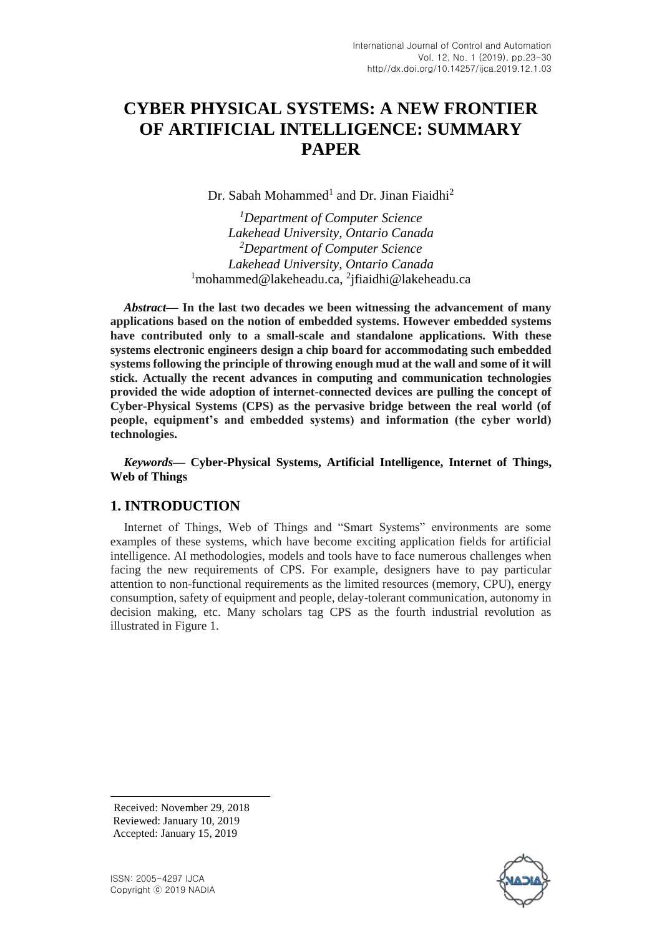# **CYBER PHYSICAL SYSTEMS: A NEW FRONTIER OF ARTIFICIAL INTELLIGENCE: SUMMARY PAPER**

Dr. Sabah Mohammed<sup>1</sup> and Dr. Jinan Fiaidhi<sup>2</sup>

*<sup>1</sup>Department of Computer Science Lakehead University, Ontario Canada <sup>2</sup>Department of Computer Science Lakehead University, Ontario Canada* <sup>1</sup>mohammed@lakeheadu.ca, <sup>2</sup>jfiaidhi@lakeheadu.ca

*Abstract—* **In the last two decades we been witnessing the advancement of many applications based on the notion of embedded systems. However embedded systems have contributed only to a small-scale and standalone applications. With these systems electronic engineers design a chip board for accommodating such embedded systems following the principle of throwing enough mud at the wall and some of it will stick. Actually the recent advances in computing and communication technologies provided the wide adoption of internet-connected devices are pulling the concept of Cyber-Physical Systems (CPS) as the pervasive bridge between the real world (of people, equipment's and embedded systems) and information (the cyber world) technologies.** 

*Keywords—* **Cyber-Physical Systems, Artificial Intelligence, Internet of Things, Web of Things**

## **1. INTRODUCTION**

Internet of Things, Web of Things and "Smart Systems" environments are some examples of these systems, which have become exciting application fields for artificial intelligence. AI methodologies, models and tools have to face numerous challenges when facing the new requirements of CPS. For example, designers have to pay particular attention to non-functional requirements as the limited resources (memory, CPU), energy consumption, safety of equipment and people, delay-tolerant communication, autonomy in decision making, etc. Many scholars tag CPS as the fourth industrial revolution as illustrated in Figure 1.

^Received: November 29, 2018 Reviewed: January 10, 2019 Accepted: January 15, 2019



l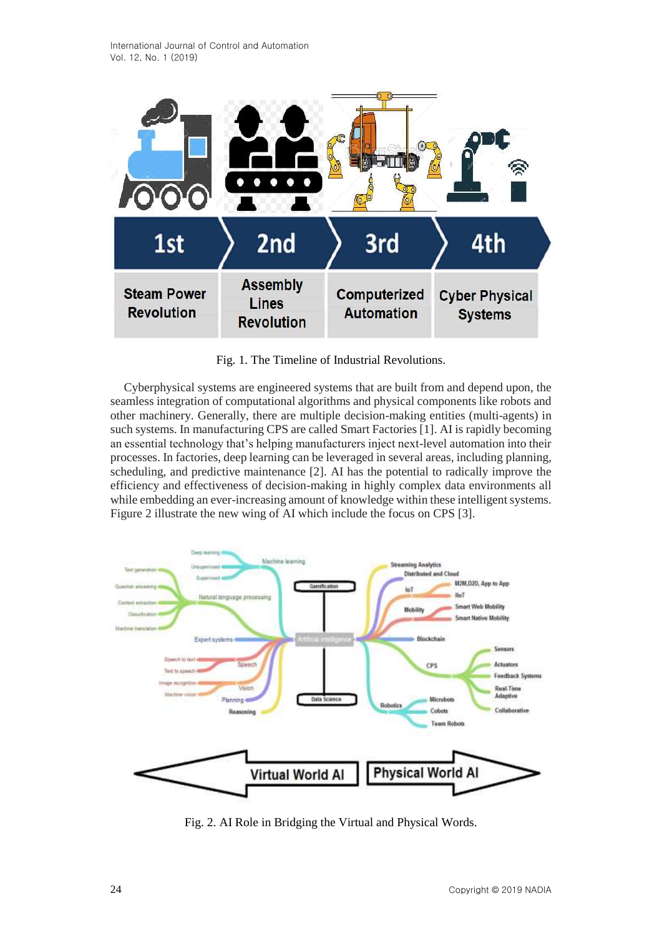

Fig. 1. The Timeline of Industrial Revolutions.

Cyberphysical systems are engineered systems that are built from and depend upon, the seamless integration of computational algorithms and physical components like robots and other machinery. Generally, there are multiple decision-making entities (multi-agents) in such systems. In manufacturing CPS are called Smart Factories [1]. AI is rapidly becoming an essential technology that's helping manufacturers inject next-level automation into their processes. In factories, deep learning can be leveraged in several areas, including planning, scheduling, and predictive maintenance [2]. AI has the potential to radically improve the efficiency and effectiveness of decision-making in highly complex data environments all while embedding an ever-increasing amount of knowledge within these intelligent systems. Figure 2 illustrate the new wing of AI which include the focus on CPS [3].



Fig. 2. AI Role in Bridging the Virtual and Physical Words.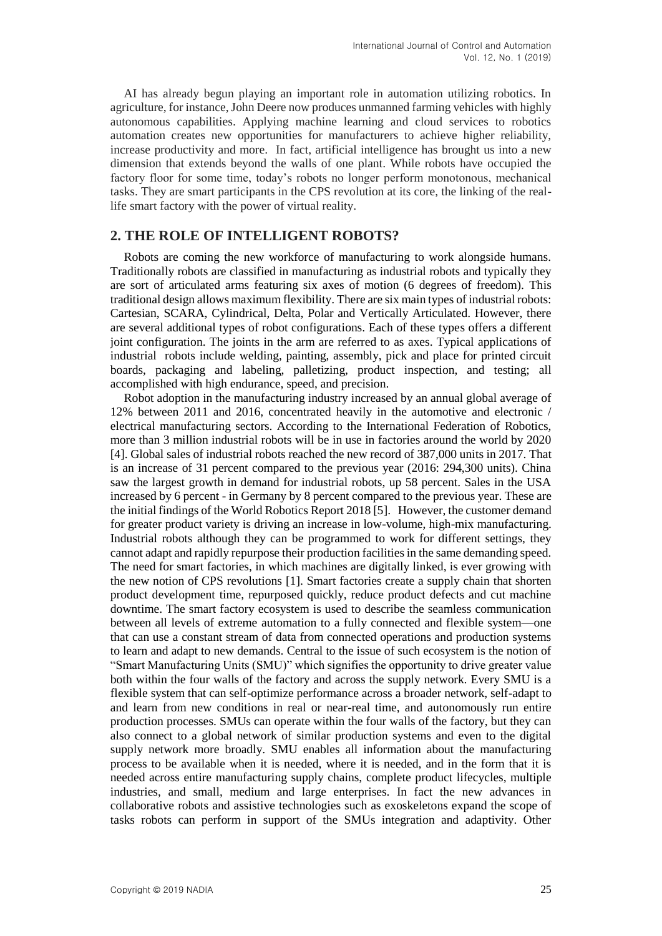AI has already begun playing an important role in automation utilizing robotics. In agriculture, for instance, John Deere now produces unmanned farming vehicles with highly autonomous capabilities. Applying machine learning and cloud services to robotics automation creates new opportunities for manufacturers to achieve higher reliability, increase productivity and more. In fact, artificial intelligence has brought us into a new dimension that extends beyond the walls of one plant. While robots have occupied the factory floor for some time, today's robots no longer perform monotonous, mechanical tasks. They are smart participants in the CPS revolution at its core, the linking of the reallife smart factory with the power of virtual reality.

### **2. THE ROLE OF INTELLIGENT ROBOTS?**

Robots are coming the new workforce of manufacturing to work alongside humans. Traditionally robots are classified in manufacturing as industrial robots and typically they are sort of articulated arms featuring six axes of motion (6 degrees of freedom). This traditional design allows maximum flexibility. There are six main types of industrial robots: Cartesian, SCARA, Cylindrical, Delta, Polar and Vertically Articulated. However, there are several additional types of robot configurations. Each of these types offers a different joint configuration. The joints in the arm are referred to as axes. Typical applications of industrial robots include welding, painting, assembly, pick and place for printed circuit boards, packaging and labeling, palletizing, product inspection, and testing; all accomplished with high endurance, speed, and precision.

Robot adoption in the manufacturing industry increased by an annual global average of 12% between 2011 and 2016, concentrated heavily in the automotive and electronic / electrical manufacturing sectors. According to the International Federation of Robotics, more than 3 million industrial robots will be in use in factories around the world by 2020 [4]. Global sales of industrial robots reached the new record of 387,000 units in 2017. That is an increase of 31 percent compared to the previous year (2016: 294,300 units). China saw the largest growth in demand for industrial robots, up 58 percent. Sales in the USA increased by 6 percent - in Germany by 8 percent compared to the previous year. These are the initial findings of the World Robotics Report 2018 [5]. However, the customer demand for greater product variety is driving an increase in low-volume, high-mix manufacturing. Industrial robots although they can be programmed to work for different settings, they cannot adapt and rapidly repurpose their production facilities in the same demanding speed. The need for smart factories, in which machines are digitally linked, is ever growing with the new notion of CPS revolutions [1]. Smart factories create a supply chain that shorten product development time, repurposed quickly, reduce product defects and cut machine downtime. The smart factory ecosystem is used to describe the seamless communication between all levels of extreme automation to a fully connected and flexible system—one that can use a constant stream of data from connected operations and production systems to learn and adapt to new demands. Central to the issue of such ecosystem is the notion of "Smart Manufacturing Units (SMU)" which signifies the opportunity to drive greater value both within the four walls of the factory and across the supply network. Every SMU is a flexible system that can self-optimize performance across a broader network, self-adapt to and learn from new conditions in real or near-real time, and autonomously run entire production processes. SMUs can operate within the four walls of the factory, but they can also connect to a global network of similar production systems and even to the digital supply network more broadly. SMU enables all information about the manufacturing process to be available when it is needed, where it is needed, and in the form that it is needed across entire manufacturing supply chains, complete product lifecycles, multiple industries, and small, medium and large enterprises. In fact the new advances in collaborative robots and assistive technologies such as exoskeletons expand the scope of tasks robots can perform in support of the SMUs integration and adaptivity. Other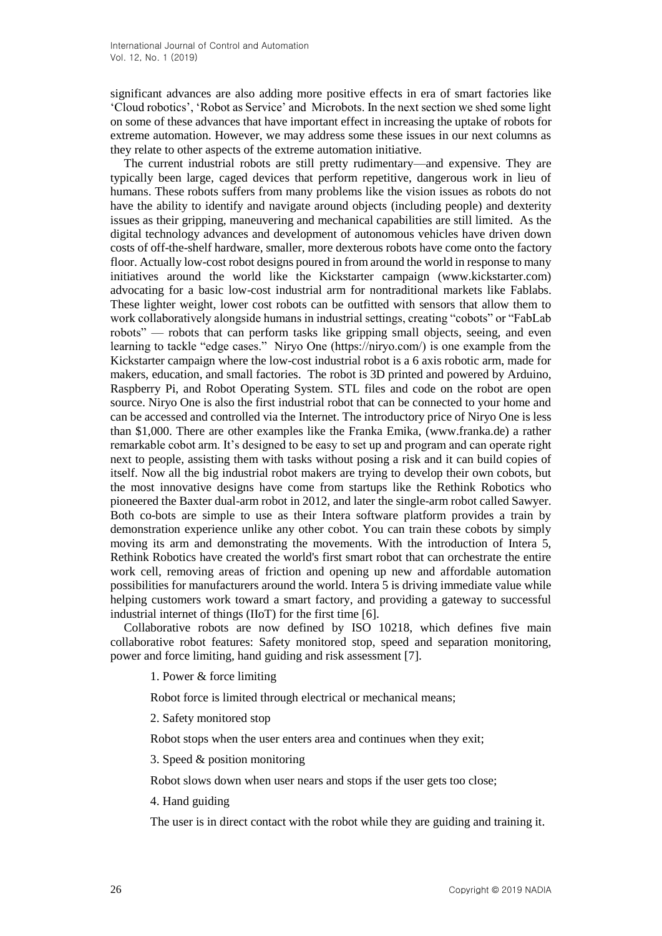significant advances are also adding more positive effects in era of smart factories like 'Cloud robotics', 'Robot as Service' and Microbots. In the next section we shed some light on some of these advances that have important effect in increasing the uptake of robots for extreme automation. However, we may address some these issues in our next columns as they relate to other aspects of the extreme automation initiative.

The current industrial robots are still pretty rudimentary—and expensive. They are typically been large, caged devices that perform repetitive, dangerous work in lieu of humans. These robots suffers from many problems like the vision issues as robots do not have the ability to identify and navigate around objects (including people) and dexterity issues as their gripping, maneuvering and mechanical capabilities are still limited. As the digital technology advances and development of autonomous vehicles have driven down costs of off-the-shelf hardware, smaller, more dexterous robots have come onto the factory floor. Actually low-cost robot designs poured in from around the world in response to many initiatives around the world like the Kickstarter campaign (www.kickstarter.com) advocating for a basic low-cost industrial arm for nontraditional markets like Fablabs. These lighter weight, lower cost robots can be outfitted with sensors that allow them to work collaboratively alongside humans in industrial settings, creating "cobots" or "FabLab robots" — robots that can perform tasks like gripping small objects, seeing, and even learning to tackle "edge cases." Niryo One (https://niryo.com/) is one example from the Kickstarter campaign where the low-cost industrial robot is a 6 axis robotic arm, made for makers, education, and small factories. The robot is 3D printed and powered by Arduino, Raspberry Pi, and Robot Operating System. STL files and code on the robot are open source. Niryo One is also the first industrial robot that can be connected to your home and can be accessed and controlled via the Internet. The introductory price of Niryo One is less than \$1,000. There are other examples like the Franka Emika, (www.franka.de) a rather remarkable cobot arm. It's designed to be easy to set up and program and can operate right next to people, assisting them with tasks without posing a risk and it can build copies of itself. Now all the big industrial robot makers are trying to develop their own cobots, but the most innovative designs have come from startups like the Rethink Robotics who pioneered the Baxter dual-arm robot in 2012, and later the single-arm robot called Sawyer. Both co-bots are simple to use as their Intera software platform provides a train by demonstration experience unlike any other cobot. You can train these cobots by simply moving its arm and demonstrating the movements. With the introduction of Intera 5, Rethink Robotics have created the world's first smart robot that can orchestrate the entire work cell, removing areas of friction and opening up new and affordable automation possibilities for manufacturers around the world. Intera 5 is driving immediate value while helping customers work toward a smart factory, and providing a gateway to successful industrial internet of things (IIoT) for the first time [6].

Collaborative robots are now defined by ISO 10218, which defines five main collaborative robot features: Safety monitored stop, speed and separation monitoring, power and force limiting, hand guiding and risk assessment [7].

1. Power & force limiting

Robot force is limited through electrical or mechanical means;

2. Safety monitored stop

Robot stops when the user enters area and continues when they exit;

3. Speed & position monitoring

Robot slows down when user nears and stops if the user gets too close;

4. Hand guiding

The user is in direct contact with the robot while they are guiding and training it.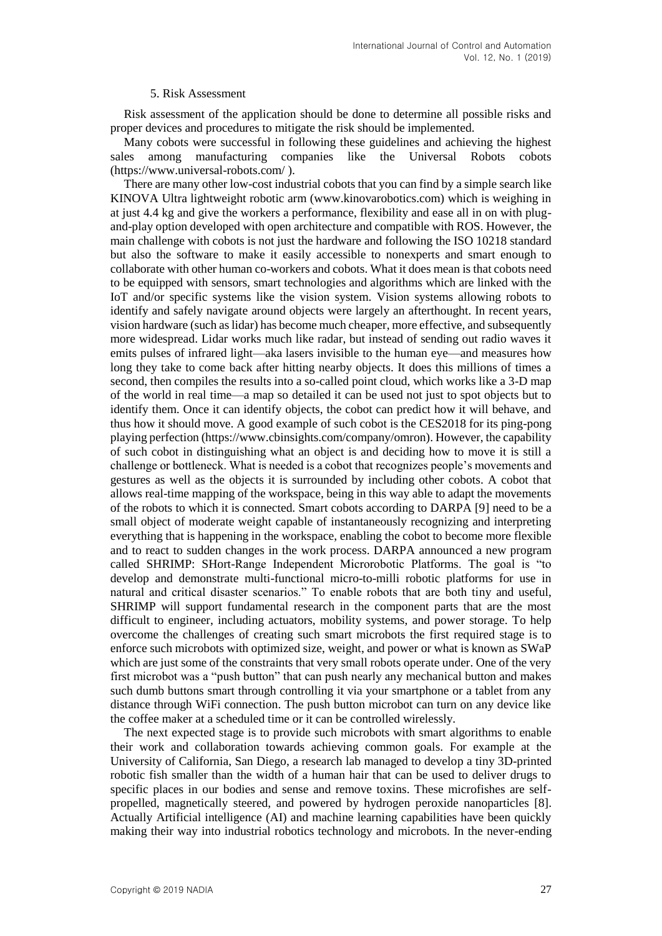#### 5. Risk Assessment

Risk assessment of the application should be done to determine all possible risks and proper devices and procedures to mitigate the risk should be implemented.

Many cobots were successful in following these guidelines and achieving the highest sales among manufacturing companies like the Universal Robots cobots (https://www.universal-robots.com/ ).

There are many other low-cost industrial cobots that you can find by a simple search like KINOVA Ultra lightweight robotic arm (www.kinovarobotics.com) which is weighing in at just 4.4 kg and give the workers a performance, flexibility and ease all in on with plugand-play option developed with open architecture and compatible with ROS. However, the main challenge with cobots is not just the hardware and following the ISO 10218 standard but also the software to make it easily accessible to nonexperts and smart enough to collaborate with other human co-workers and cobots. What it does mean is that cobots need to be equipped with sensors, smart technologies and algorithms which are linked with the IoT and/or specific systems like the vision system. Vision systems allowing robots to identify and safely navigate around objects were largely an afterthought. In recent years, vision hardware (such as lidar) has become much cheaper, more effective, and subsequently more widespread. Lidar works much like radar, but instead of sending out radio waves it emits pulses of infrared light—aka lasers invisible to the human eye—and measures how long they take to come back after hitting nearby objects. It does this millions of times a second, then compiles the results into a so-called point cloud, which works like a 3-D map of the world in real time—a map so detailed it can be used not just to spot objects but to identify them. Once it can identify objects, the cobot can predict how it will behave, and thus how it should move. A good example of such cobot is the CES2018 for its ping-pong playing perfection (https://www.cbinsights.com/company/omron). However, the capability of such cobot in distinguishing what an object is and deciding how to move it is still a challenge or bottleneck. What is needed is a cobot that recognizes people's movements and gestures as well as the objects it is surrounded by including other cobots. A cobot that allows real-time mapping of the workspace, being in this way able to adapt the movements of the robots to which it is connected. Smart cobots according to DARPA [9] need to be a small object of moderate weight capable of instantaneously recognizing and interpreting everything that is happening in the workspace, enabling the cobot to become more flexible and to react to sudden changes in the work process. DARPA announced a new program called SHRIMP: SHort-Range Independent Microrobotic Platforms. The goal is "to develop and demonstrate multi-functional micro-to-milli robotic platforms for use in natural and critical disaster scenarios." To enable robots that are both tiny and useful, SHRIMP will support fundamental research in the component parts that are the most difficult to engineer, including actuators, mobility systems, and power storage. To help overcome the challenges of creating such smart microbots the first required stage is to enforce such microbots with optimized size, weight, and power or what is known as SWaP which are just some of the constraints that very small robots operate under. One of the very first microbot was a "push button" that can push nearly any mechanical button and makes such dumb buttons smart through controlling it via your smartphone or a tablet from any distance through WiFi connection. The push button microbot can turn on any device like the coffee maker at a scheduled time or it can be controlled wirelessly.

The next expected stage is to provide such microbots with smart algorithms to enable their work and collaboration towards achieving common goals. For example at the University of California, San Diego, a research lab managed to develop a tiny 3D-printed robotic fish smaller than the width of a human hair that can be used to deliver drugs to specific places in our bodies and sense and remove toxins. These microfishes are selfpropelled, magnetically steered, and powered by hydrogen peroxide nanoparticles [8]. Actually Artificial intelligence (AI) and machine learning capabilities have been quickly making their way into industrial robotics technology and microbots. In the never-ending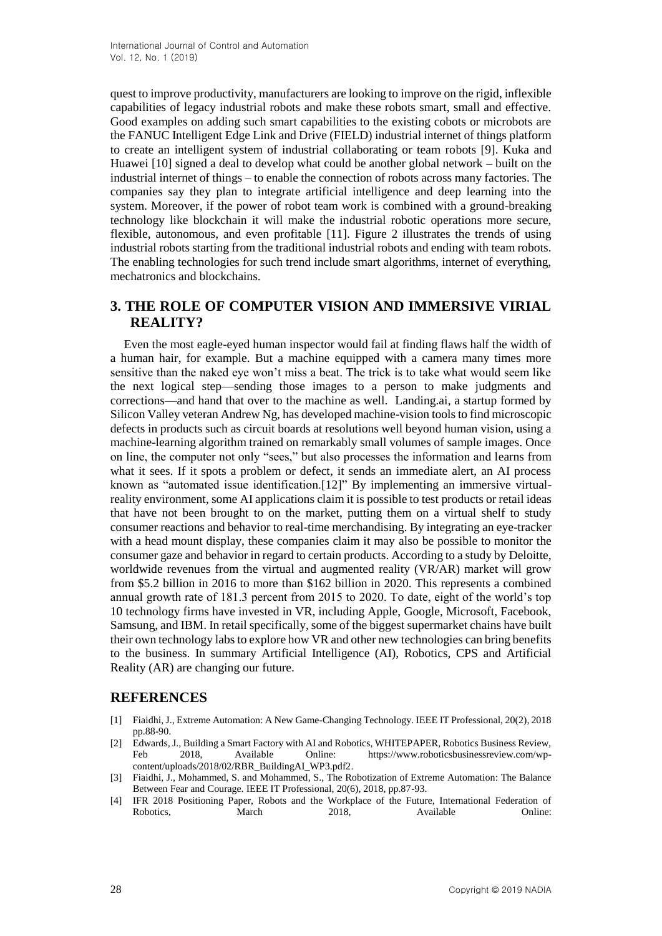quest to improve productivity, manufacturers are looking to improve on the rigid, inflexible capabilities of legacy industrial robots and make these robots smart, small and effective. Good examples on adding such smart capabilities to the existing cobots or microbots are the FANUC Intelligent Edge Link and Drive (FIELD) industrial internet of things platform to create an intelligent system of industrial collaborating or team robots [9]. Kuka and Huawei [10] signed a deal to develop what could be another global network – built on the industrial internet of things – to enable the connection of robots across many factories. The companies say they plan to integrate artificial intelligence and deep learning into the system. Moreover, if the power of robot team work is combined with a ground-breaking technology like blockchain it will make the industrial robotic operations more secure, flexible, autonomous, and even profitable [11]. Figure 2 illustrates the trends of using industrial robots starting from the traditional industrial robots and ending with team robots. The enabling technologies for such trend include smart algorithms, internet of everything, mechatronics and blockchains.

# **3. THE ROLE OF COMPUTER VISION AND IMMERSIVE VIRIAL REALITY?**

Even the most eagle-eyed human inspector would fail at finding flaws half the width of a human hair, for example. But a machine equipped with a camera many times more sensitive than the naked eye won't miss a beat. The trick is to take what would seem like the next logical step—sending those images to a person to make judgments and corrections—and hand that over to the machine as well. Landing.ai, a startup formed by Silicon Valley veteran Andrew Ng, has developed machine-vision tools to find microscopic defects in products such as circuit boards at resolutions well beyond human vision, using a machine-learning algorithm trained on remarkably small volumes of sample images. Once on line, the computer not only "sees," but also processes the information and learns from what it sees. If it spots a problem or defect, it sends an immediate alert, an AI process known as "automated issue identification.[12]" By implementing an immersive virtualreality environment, some AI applications claim it is possible to test products or retail ideas that have not been brought to on the market, putting them on a virtual shelf to study consumer reactions and behavior to real-time merchandising. By integrating an eye-tracker with a head mount display, these companies claim it may also be possible to monitor the consumer gaze and behavior in regard to certain products. According to a study by Deloitte, worldwide revenues from the virtual and augmented reality (VR/AR) market will grow from \$5.2 billion in 2016 to more than \$162 billion in 2020. This represents a combined annual growth rate of 181.3 percent from 2015 to 2020. To date, eight of the world's top 10 technology firms have invested in VR, including Apple, Google, Microsoft, Facebook, Samsung, and IBM. In retail specifically, some of the biggest supermarket chains have built their own technology labs to explore how VR and other new technologies can bring benefits to the business. In summary Artificial Intelligence (AI), Robotics, CPS and Artificial Reality (AR) are changing our future.

## **REFERENCES**

- [1] Fiaidhi, J., Extreme Automation: A New Game-Changing Technology. IEEE IT Professional, 20(2), 2018 pp.88-90.
- [2] Edwards, J., Building a Smart Factory with AI and Robotics, WHITEPAPER, Robotics Business Review, Feb 2018, Available Online: https://www.roboticsbusinessreview.com/wpcontent/uploads/2018/02/RBR\_BuildingAI\_WP3.pdf2.
- [3] Fiaidhi, J., Mohammed, S. and Mohammed, S., The Robotization of Extreme Automation: The Balance Between Fear and Courage. IEEE IT Professional, 20(6), 2018, pp.87-93.
- [4] IFR 2018 Positioning Paper, Robots and the Workplace of the Future, International Federation of Robotics, March 2018, Available Online: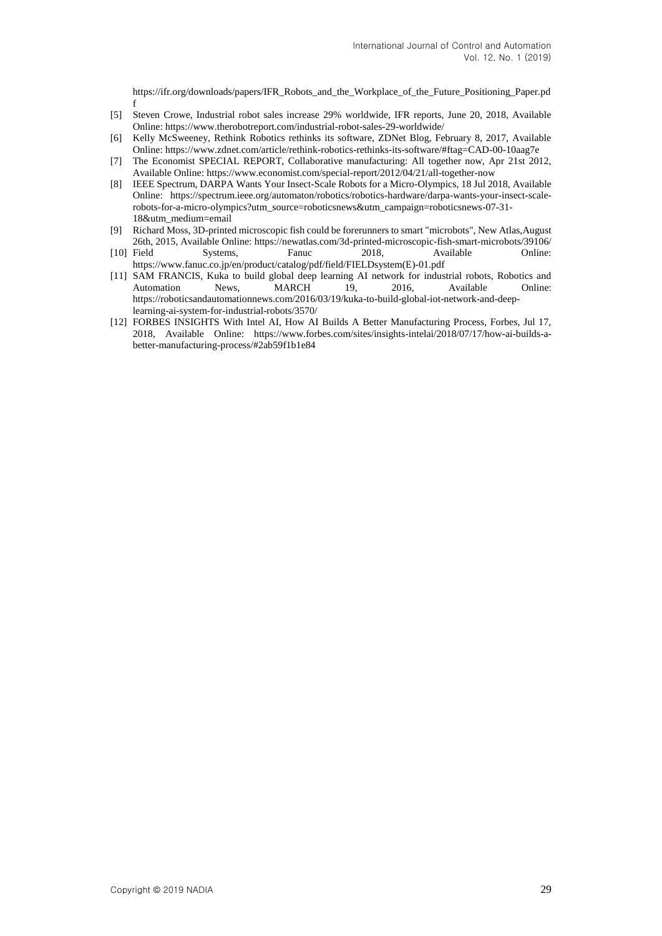https://ifr.org/downloads/papers/IFR\_Robots\_and\_the\_Workplace\_of\_the\_Future\_Positioning\_Paper.pd f

- [5] Steven Crowe, Industrial robot sales increase 29% worldwide, IFR reports, June 20, 2018, Available Online: https://www.therobotreport.com/industrial-robot-sales-29-worldwide/
- [6] Kelly McSweeney, Rethink Robotics rethinks its software, ZDNet Blog, February 8, 2017, Available Online: https://www.zdnet.com/article/rethink-robotics-rethinks-its-software/#ftag=CAD-00-10aag7e
- [7] The Economist SPECIAL REPORT, Collaborative manufacturing: All together now, Apr 21st 2012, Available Online: https://www.economist.com/special-report/2012/04/21/all-together-now
- [8] IEEE Spectrum, DARPA Wants Your Insect-Scale Robots for a Micro-Olympics, 18 Jul 2018, Available Online: https://spectrum.ieee.org/automaton/robotics/robotics-hardware/darpa-wants-your-insect-scalerobots-for-a-micro-olympics?utm\_source=roboticsnews&utm\_campaign=roboticsnews-07-31- 18&utm\_medium=email
- [9] Richard Moss, 3D-printed microscopic fish could be forerunners to smart "microbots", New Atlas,August 26th, 2015, Available Online: https://newatlas.com/3d-printed-microscopic-fish-smart-microbots/39106/
- [10] Field Systems, Fanuc 2018, Available Online: https://www.fanuc.co.jp/en/product/catalog/pdf/field/FIELDsystem(E)-01.pdf
- [11] SAM FRANCIS, Kuka to build global deep learning AI network for industrial robots, Robotics and Automation News, MARCH 19, 2016, Available Online: https://roboticsandautomationnews.com/2016/03/19/kuka-to-build-global-iot-network-and-deeplearning-ai-system-for-industrial-robots/3570/
- [12] FORBES INSIGHTS With Intel AI, How AI Builds A Better Manufacturing Process, Forbes, Jul 17, 2018, Available Online: https://www.forbes.com/sites/insights-intelai/2018/07/17/how-ai-builds-abetter-manufacturing-process/#2ab59f1b1e84